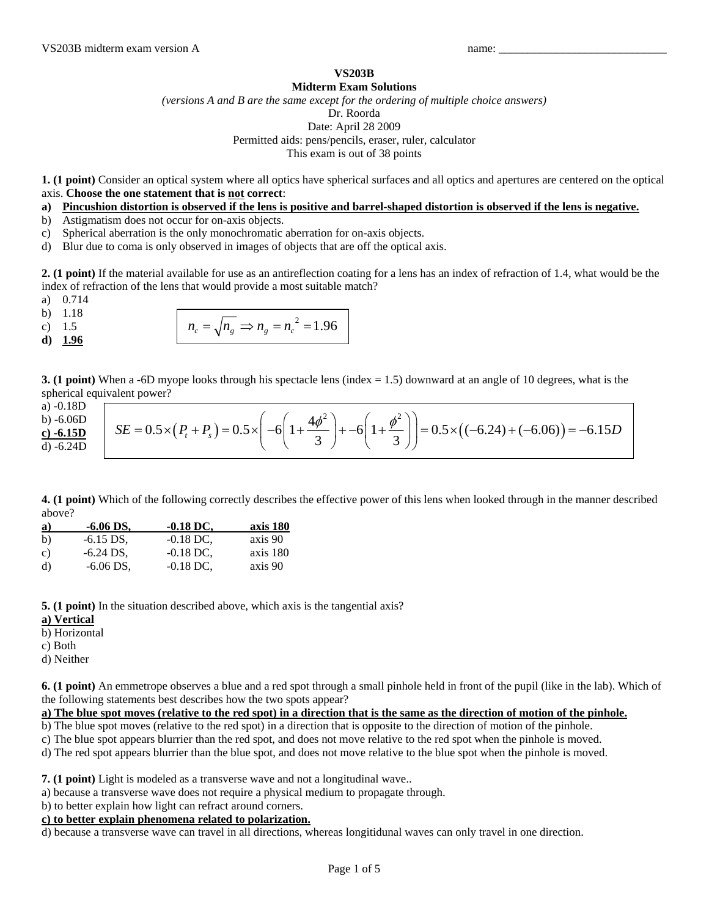## **VS203B**

## **Midterm Exam Solutions**

*(versions A and B are the same except for the ordering of multiple choice answers)*  Dr. Roorda

Date: April 28 2009

Permitted aids: pens/pencils, eraser, ruler, calculator

This exam is out of 38 points

**1. (1 point)** Consider an optical system where all optics have spherical surfaces and all optics and apertures are centered on the optical axis. **Choose the one statement that is not correct**:

**a) Pincushion distortion is observed if the lens is positive and barrel-shaped distortion is observed if the lens is negative.**

- b) Astigmatism does not occur for on-axis objects.
- c) Spherical aberration is the only monochromatic aberration for on-axis objects.
- d) Blur due to coma is only observed in images of objects that are off the optical axis.

**2. (1 point)** If the material available for use as an antireflection coating for a lens has an index of refraction of 1.4, what would be the index of refraction of the lens that would provide a most suitable match?

- a) 0.714
- b) 1.18
- 
- **d) 1.96**

| $n_c = \sqrt{n_g} \Rightarrow n_g = n_c^2 = 1.96$<br>c) 1.5 |  |
|-------------------------------------------------------------|--|
| d) 1.96                                                     |  |

**3. (1 point)** When a -6D myope looks through his spectacle lens (index = 1.5) downward at an angle of 10 degrees, what is the spherical equivalent power?

a) -0.18D  $b)$ **c**)  $d)$ 

| $-0.10D$ | -6.06D<br>-6.15D<br>-6.24D<br>SE = $0.5 \times (P_t + P_s) = 0.5 \times \left(-6\left(1 + \frac{4\phi^2}{3}\right) + -6\left(1 + \frac{\phi^2}{3}\right)\right) = 0.5 \times \left((-6.24) + (-6.06)\right) = -6.15D$ |
|----------|-----------------------------------------------------------------------------------------------------------------------------------------------------------------------------------------------------------------------|
|----------|-----------------------------------------------------------------------------------------------------------------------------------------------------------------------------------------------------------------------|

**4. (1 point)** Which of the following correctly describes the effective power of this lens when looked through in the manner described above?

| $\mathbf{a}$ | $-6.06$ DS. | $-0.18$ DC. | axis 180 |
|--------------|-------------|-------------|----------|
| b)           | $-6.15$ DS. | $-0.18$ DC. | axis 90  |
| c)           | $-6.24$ DS. | $-0.18$ DC. | axis 180 |
| d)           | $-6.06$ DS, | $-0.18$ DC. | axis 90  |

**5. (1 point)** In the situation described above, which axis is the tangential axis?

- **a) Vertical**
- b) Horizontal
- c) Both
- d) Neither

**6. (1 point)** An emmetrope observes a blue and a red spot through a small pinhole held in front of the pupil (like in the lab). Which of the following statements best describes how the two spots appear?

**a) The blue spot moves (relative to the red spot) in a direction that is the same as the direction of motion of the pinhole.**

b) The blue spot moves (relative to the red spot) in a direction that is opposite to the direction of motion of the pinhole.

c) The blue spot appears blurrier than the red spot, and does not move relative to the red spot when the pinhole is moved.

d) The red spot appears blurrier than the blue spot, and does not move relative to the blue spot when the pinhole is moved.

**7. (1 point)** Light is modeled as a transverse wave and not a longitudinal wave..

a) because a transverse wave does not require a physical medium to propagate through.

b) to better explain how light can refract around corners.

## **c) to better explain phenomena related to polarization.**

d) because a transverse wave can travel in all directions, whereas longitidunal waves can only travel in one direction.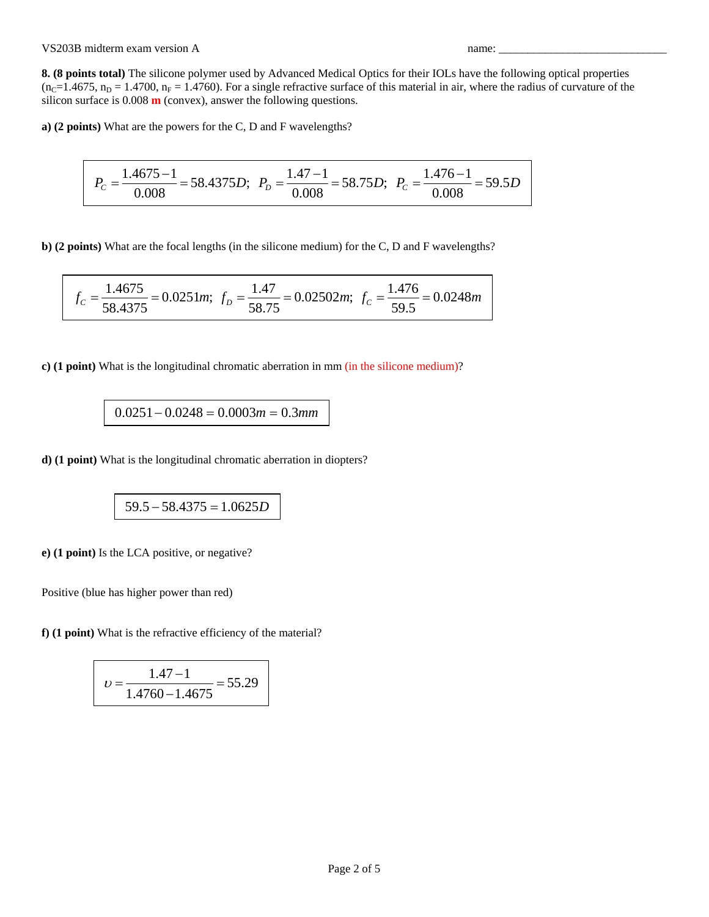**8. (8 points total)** The silicone polymer used by Advanced Medical Optics for their IOLs have the following optical properties  $(n_c=1.4675, n_D = 1.4700, n_F = 1.4760)$ . For a single refractive surface of this material in air, where the radius of curvature of the silicon surface is 0.008 **m** (convex), answer the following questions.

**a) (2 points)** What are the powers for the C, D and F wavelengths?

$$
P_C = \frac{1.4675 - 1}{0.008} = 58.4375D; \ \ P_D = \frac{1.47 - 1}{0.008} = 58.75D; \ \ P_C = \frac{1.476 - 1}{0.008} = 59.5D
$$

**b) (2 points)** What are the focal lengths (in the silicone medium) for the C, D and F wavelengths?

$$
f_c = \frac{1.4675}{58.4375} = 0.0251m
$$
;  $f_D = \frac{1.47}{58.75} = 0.02502m$ ;  $f_c = \frac{1.476}{59.5} = 0.0248m$ 

**c) (1 point)** What is the longitudinal chromatic aberration in mm (in the silicone medium)?

$$
0.0251 - 0.0248 = 0.0003m = 0.3mm
$$

**d) (1 point)** What is the longitudinal chromatic aberration in diopters?

$$
59.5 - 58.4375 = 1.0625D
$$

**e) (1 point)** Is the LCA positive, or negative?

Positive (blue has higher power than red)

**f) (1 point)** What is the refractive efficiency of the material?

$$
v = \frac{1.47 - 1}{1.4760 - 1.4675} = 55.29
$$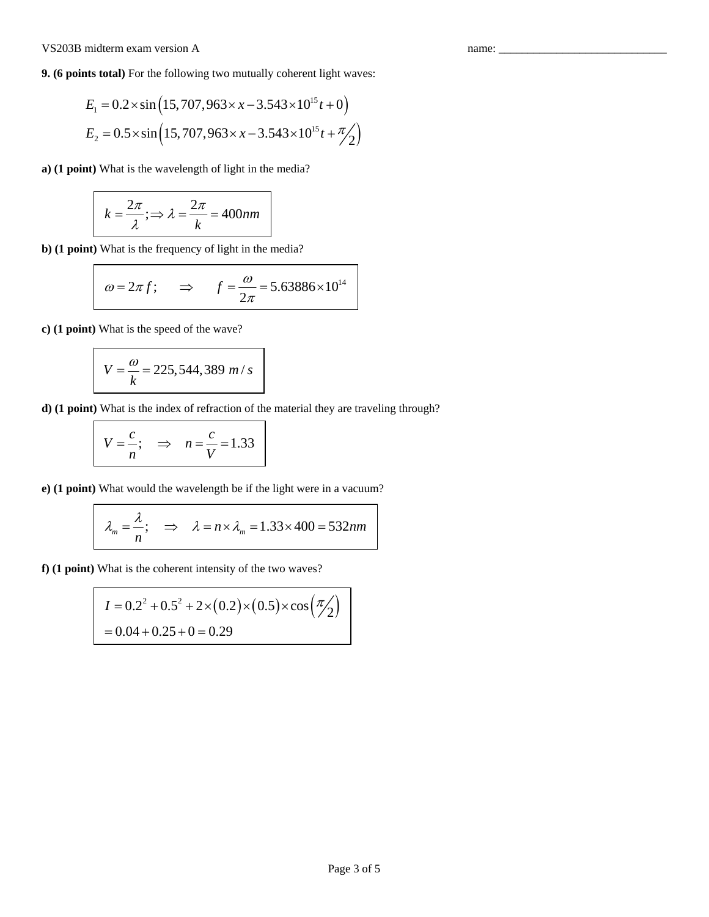## VS203B midterm exam version A name: \_\_\_\_\_\_\_\_\_\_\_\_\_\_\_\_\_\_\_\_\_\_\_\_\_\_\_\_\_

**9. (6 points total)** For the following two mutually coherent light waves:

$$
E_1 = 0.2 \times \sin\left(15,707,963 \times x - 3.543 \times 10^{15} t + 0\right)
$$
  

$$
E_2 = 0.5 \times \sin\left(15,707,963 \times x - 3.543 \times 10^{15} t + \frac{\pi}{2}\right)
$$

**a) (1 point)** What is the wavelength of light in the media?

$$
k = \frac{2\pi}{\lambda}; \Rightarrow \lambda = \frac{2\pi}{k} = 400nm
$$

**b) (1 point)** What is the frequency of light in the media?

$$
\omega = 2\pi f
$$
;  $\implies$   $f = \frac{\omega}{2\pi} = 5.63886 \times 10^{14}$ 

**c) (1 point)** What is the speed of the wave?

$$
V = \frac{\omega}{k} = 225,544,389 \ m/s
$$

**d) (1 point)** What is the index of refraction of the material they are traveling through?

$$
V = \frac{c}{n}; \quad \Rightarrow \quad n = \frac{c}{V} = 1.33
$$

**e) (1 point)** What would the wavelength be if the light were in a vacuum?

$$
\lambda_m = \frac{\lambda}{n}; \implies \lambda = n \times \lambda_m = 1.33 \times 400 = 532nm
$$

**f) (1 point)** What is the coherent intensity of the two waves?

$$
I = 0.2^2 + 0.5^2 + 2 \times (0.2) \times (0.5) \times \cos\left(\frac{\pi}{2}\right)
$$
  
= 0.04 + 0.25 + 0 = 0.29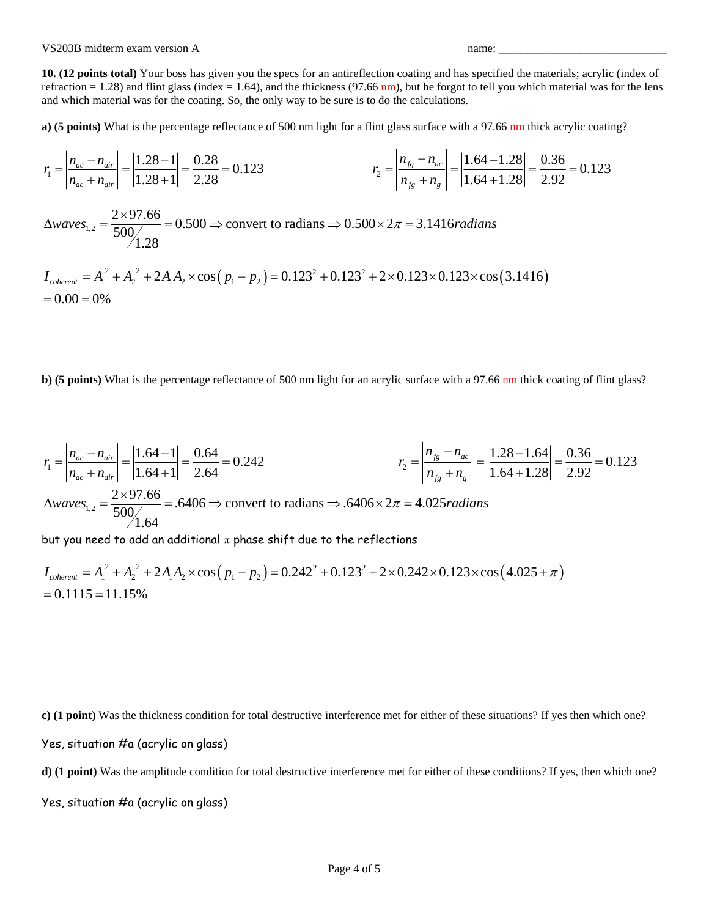VS203B midterm exam version A name:

**10. (12 points total)** Your boss has given you the specs for an antireflection coating and has specified the materials; acrylic (index of refraction = 1.28) and flint glass (index = 1.64), and the thickness (97.66 nm), but he forgot to tell you which material was for the lens and which material was for the coating. So, the only way to be sure is to do the calculations.

**a) (5 points)** What is the percentage reflectance of 500 nm light for a flint glass surface with a 97.66 nm thick acrylic coating?

$$
r_1 = \left| \frac{n_{ac} - n_{air}}{n_{ac} + n_{air}} \right| = \left| \frac{1.28 - 1}{1.28 + 1} \right| = \frac{0.28}{2.28} = 0.123
$$
\n
$$
r_2 = \left| \frac{n_{fg} - n_{ac}}{n_{fg} + n_g} \right| = \left| \frac{1.64 - 1.28}{1.64 + 1.28} \right| = \frac{0.36}{2.92} = 0.123
$$

 $\alpha_{1,2} = \frac{2 \times 97.66}{500} = 0.500 \Rightarrow$  convert to radians  $\Rightarrow 0.500 \times 2\pi = 3.1416$ 1.28  $\Delta waves_{12} = \frac{2 \times 97.66}{500} = 0.500 \Rightarrow$  convert to radians  $\Rightarrow 0.500 \times 2\pi = 3.1416$  *radians* 

$$
I_{\text{coherent}} = A_1^2 + A_2^2 + 2A_1A_2 \times \cos\left(p_1 - p_2\right) = 0.123^2 + 0.123^2 + 2 \times 0.123 \times 0.123 \times \cos\left(3.1416\right)
$$
  
= 0.00 = 0%

**b)** (5 points) What is the percentage reflectance of 500 nm light for an acrylic surface with a 97.66 nm thick coating of flint glass?

$$
r_1 = \left| \frac{n_{ac} - n_{air}}{n_{ac} + n_{air}} \right| = \left| \frac{1.64 - 1}{1.64 + 1} \right| = \frac{0.64}{2.64} = 0.242
$$
  
\n
$$
\Delta waves_{1,2} = \frac{2 \times 97.66}{500/1.64} = .6406 \Rightarrow \text{convert to radians} \Rightarrow .6406 \times 2\pi = 4.025 \text{ radians}
$$
  
\n
$$
r_2 = \left| \frac{n_{fg} - n_{ac}}{n_{fg} + n_g} \right| = \left| \frac{1.28 - 1.64}{1.64 + 1.28} \right| = \frac{0.36}{2.92} = 0.123
$$

but you need to add an additional  $\pi$  phase shift due to the reflections

$$
I_{\text{coherent}} = A_1^2 + A_2^2 + 2A_1A_2 \times \cos\left(p_1 - p_2\right) = 0.242^2 + 0.123^2 + 2 \times 0.242 \times 0.123 \times \cos\left(4.025 + \pi\right)
$$
  
= 0.1115 = 11.15%

**c) (1 point)** Was the thickness condition for total destructive interference met for either of these situations? If yes then which one? Yes, situation #a (acrylic on glass)

**d**) (1 point) Was the amplitude condition for total destructive interference met for either of these conditions? If yes, then which one?

Yes, situation #a (acrylic on glass)